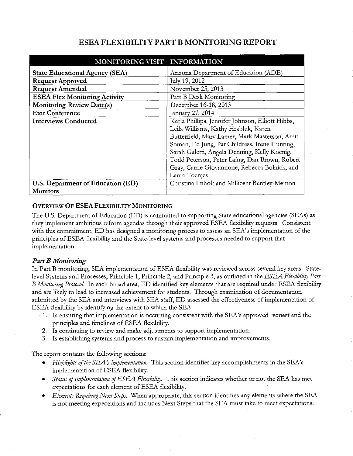# **ESEA FLEXIBILITY PART B MONITORING REPORT**

| MONITORING VISIT INFORMATION          |                                                  |
|---------------------------------------|--------------------------------------------------|
| <b>State Educational Agency (SEA)</b> | Arizona Department of Education (ADE)            |
| <b>Request Approved</b>               | July 19, 2012                                    |
| <b>Request Amended</b>                | November 25, 2013                                |
| <b>ESEA Flex Monitoring Activity</b>  | Part B Desk Monitoring                           |
| <b>Monitoring Review Date(s)</b>      | December 16-18, 2013                             |
| <b>Exit Conference</b>                | January 27, 2014                                 |
| <b>Interviews Conducted</b>           | Karla Phillips, Jennifer Johnson, Elliott Hibbs, |
|                                       | Leila Williams, Kathy Hrabluk, Karen             |
|                                       | Butterfield, Marv Lamer, Mark Masterson, Amit    |
|                                       | Soman, Ed Jung, Pat Childress, Irene Hunting,    |
|                                       | Sarah Galetti, Angela Denning, Kelly Koenig,     |
|                                       | Todd Peterson, Peter Laing, Dan Brown, Robert    |
|                                       | Gray, Carrie Giovannone, Rebecca Bolnick, and    |
|                                       | Laura Toenjes                                    |
| U.S. Department of Education (ED)     | Christina Imholt and Millicent Bentley-Memon     |
| <b>Monitors</b>                       |                                                  |

# **OVERVIEW OF ESEA FLEXIBILITY MONITORING**

The U.S. Department of Education (ED) is committed to supporting State educational agencies (SEAs) as they implement ambitious reform agendas through their approved ESEA flexibility requests. Consistent with this commitment, ED has designed a monitoring process to assess an SEA's implementation of the principles of ESEA flexibility and the State-level systems and processes needed to support that implementation.

# *Part B Monitoring*

In Part B monitoring, SEA implementation of ESEA flexibility was reviewed across several key areas: Statelevel Systems and Processes, Principle 1, Principle 2, and Principle 3, as outlined in the *ESEA Flexibility Part B Monitoring Protocol.* In each broad area, ED identified key elements that are required under ESEA flexibility and are likely to lead to increased achievement for students. Through examination of documentation submitted by the SEA and interviews with SEA staff, ED assessed the effectiveness of implementation of ESEA flexibility by identifying the extent to which the SEA:

- · 1. Is ensuring that implementation is occurring consistent with the SEA's approved request and the principles and timelines of ESEA flexibility.
- 2. Is continuing to review and make adjustments to support implementation.
- 3. Is establishing systems and process to sustain implementation and improvements.

The report contains the following sections:

- *Highlights of the SEA's Implementation*. This section identifies key accomplishments in the SEA's implementation of ESEA flexibility.
- *Status if Implementation efESEA Flexibility.* This section indicates whether or not the SEA has met expectations for each element of ESEA flexibility.
- *Elements Requiring Next Steps.* When appropriate, this section identifies any elements where the SEA is not meeting expectations and includes Next Steps that the SEA must take to meet expectations.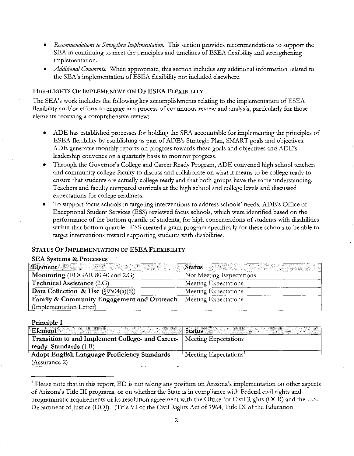- *Recommendations to Strengthen Implementation.* Tbis section provides recommendations to support the SEA in continuing to meet the principles and timelines of ESEA flexibility and strengthening implementation.
- *Additional Comments.* When appropriate, this section includes any additional information related to the SEA's implementation of ESEA flexibility not included elsewhere.

### **HIGHLIGHTS OF IMPLEMENTATION OF ESEA FLEXIBILITY**

The SEA's work includes the following key accomplishments relating to the implementation of ESEA flexibility and/or efforts to engage in a process of continuous review and analysis, particularly for those elements receiving a comprehensive review:

- ADE has established processes for holding the SEA accountable for implementing the principles of ESEA flexibility by establishing as part of ADE's Strategic Plan, SMART goals and objectives. ADE generates monthly reports on progress towards these goals and objectives and ADE's leadership convenes on a quarterly basis to monitor progress.
- Through the Governor's College and Career Ready Program, ADE convened high school teachers and community college faculty to discuss and collaborate on what it means to be college ready to ensure that students are actually college ready and that both groups have the same understanding. Teachers and faculty compared curricula at the high school and college levels and discussed expectations for college readiness.
- To support focus schools in targeting interventions to address schools' needs, ADE's Office of Exceptional Student Services (ESS) reviewed focus schools, which were identified based on the performance of the bottom quartile of students, for high concentrations of students with disabilities within that bottom quartile. ESS created a grant program specifically for these schools to be able to target interventions toward supporting students with disabilities.

#### **STATUS OF IMPLEMENTATION OF ESEAFLEXIBILITY**

#### **SEA Systems & Processes**

| Element                                    | Status                   |
|--------------------------------------------|--------------------------|
| Monitoring (EDGAR 80.40 and 2.G)           | Not Meeting Expectations |
| <b>Technical Assistance (2.G)</b>          | Meeting Expectations     |
| Data Collection & Use $(\S 9304(a)(6))$    | Meeting Expectations     |
| Family & Community Engagement and Outreach | Meeting Expectations     |
| (Implementation Letter)                    |                          |

#### **Principle 1**

| Element                                          | <b>Status</b>                     |
|--------------------------------------------------|-----------------------------------|
| Transition to and Implement College- and Career- | Meeting Expectations              |
| ready Standards (1.B)                            |                                   |
| Adopt English Language Proficiency Standards     | Meeting Expectations <sup>1</sup> |
| (Assurance 2)                                    |                                   |

<sup>&</sup>lt;sup>1</sup> Please note that in this report, ED is not taking any position on Arizona's implementation on other aspects of Arizona's Title III programs, or on whether the State is in compliance with Federal civil rights and programmatic requirements or its resolution agreement with the Office for Civil Rights (OCR) and the U.S. Department of Justice (DOJ). (Title VI of the Civil Rights Act of 1964, Title IX of the Education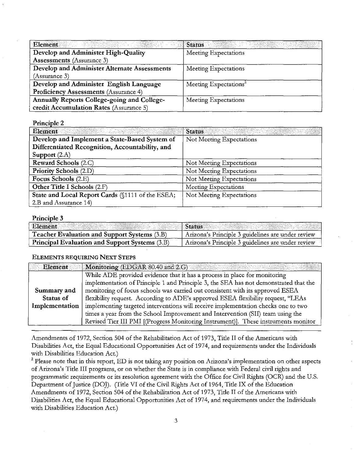| Element                                      | <b>Status</b>                     |  |
|----------------------------------------------|-----------------------------------|--|
| Develop and Administer High-Quality          | Meeting Expectations              |  |
| <b>Assessments</b> (Assurance 3)             |                                   |  |
| Develop and Administer Alternate Assessments | Meeting Expectations              |  |
| (Assurance 3)                                |                                   |  |
| Develop and Administer English Language      | Meeting Expectations <sup>2</sup> |  |
| Proficiency Assessments (Assurance 4)        |                                   |  |
| Annually Reports College-going and College-  | Meeting Expectations              |  |
| credit Accumulation Rates (Assurance 5)      |                                   |  |

Principle 2

| Element<br>a mana tanggal ng kalawang mananggal ng mga mananggal ng mga mananggal ng mga mananggal ng mga mananggal ng mg<br>Mga mananggal ng mga mananggal ng mga mananggal ng mga mananggal ng mga mananggal ng mga mananggal ng mga mana | <b>Status</b><br>나 있는 이 가장 없이 있었다.<br>이 사이에 대한 사이에서 이 사이에 있는 것이 있어서 있어 있어요.<br>이 사이에 대한 사이에서 이 사이에 있는 데 있어요. |
|---------------------------------------------------------------------------------------------------------------------------------------------------------------------------------------------------------------------------------------------|--------------------------------------------------------------------------------------------------------------|
| Develop and Implement a State-Based System of                                                                                                                                                                                               | Not Meeting Expectations                                                                                     |
| Differentiated Recognition, Accountability, and                                                                                                                                                                                             |                                                                                                              |
| Support $(2.A)$                                                                                                                                                                                                                             |                                                                                                              |
| Reward Schools (2.C)                                                                                                                                                                                                                        | Not Meeting Expectations                                                                                     |
| <b>Priority Schools (2.D)</b>                                                                                                                                                                                                               | Not Meeting Expectations                                                                                     |
| Focus Schools (2.E)                                                                                                                                                                                                                         | Not Meeting Expectations                                                                                     |
| Other Title I Schools (2.F)                                                                                                                                                                                                                 | Meeting Expectations                                                                                         |
| State and Local Report Cards (§1111 of the ESEA;                                                                                                                                                                                            | Not Meeting Expectations                                                                                     |
| 2.B and Assurance 14)                                                                                                                                                                                                                       |                                                                                                              |

### Principle 3

| Element                                               | ⊪ Status                                          |
|-------------------------------------------------------|---------------------------------------------------|
| Teacher Evaluation and Support Systems (3.B)          | Arizona's Principle 3 guidelines are under review |
| <b>Principal Evaluation and Support Systems (3.B)</b> | Arizona's Principle 3 guidelines are under review |

# **ELEMENTS REQUIRING NEXT STEPS**

| <b>Element</b> | Monitoring (EDGAR 80.40 and 2.G)                                                     |  |
|----------------|--------------------------------------------------------------------------------------|--|
|                | While ADE provided evidence that it has a process in place for monitoring            |  |
|                | implementation of Principle 1 and Principle 3, the SEA has not demonstrated that the |  |
| Summary and    | monitoring of focus schools was carried out consistent with its approved ESEA        |  |
| Status of      | flexibility request. According to ADE's approved ESEA flexibility request, "LEAs     |  |
| Implementation | implementing targeted interventions will receive implementation checks one to two    |  |
|                | times a year from the School Improvement and Intervention (SII) team using the       |  |
|                | Revised Tier III PMI [(Progress Monitoring Instrument)]. These instruments monitor   |  |

Amendments of 1972, Section 504 of the Rehabilitation Act of 1973, Title II of the Americans with Disabilities Act, the Equal Educational Opportunities Act of 1974, and requirements under the Individuals with Disabilities Education Act.)

<sup>2</sup> Please note that in this report, ED is not taking any position on Arizona's implementation on other aspects of Arizona's Title III programs, or on whether the State is in compliance with Federal civil rights and programmatic requirements or its resolution agreement with the Office for Civil Rights (OCR) and the U.S. Department of Justice (DOJ). (Title VI of the Civil Rights Act of 1964, Title IX of the Education Amendments of 1972, Section 504 of the Rehabilitation Act of 1973, Title II of the Americans with Disabilities Act, the Equal Educational Opportunities Act of 1974, and requirements under the Individuals with Disabilities Education Act.)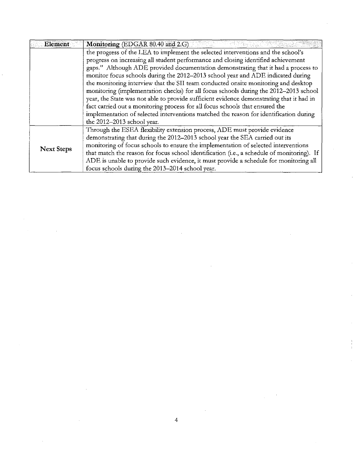| <b>Element</b>    | Monitoring (EDGAR 80.40 and 2.G)                                                           |
|-------------------|--------------------------------------------------------------------------------------------|
|                   | the progress of the LEA to implement the selected interventions and the school's           |
|                   | progress on increasing all student performance and closing identified achievement          |
|                   | gaps." Although ADE provided documentation demonstrating that it had a process to          |
|                   | monitor focus schools during the 2012-2013 school year and ADE indicated during            |
|                   | the monitoring interview that the SII team conducted onsite monitoring and desktop         |
|                   | monitoring (implementation checks) for all focus schools during the 2012-2013 school       |
|                   | year, the State was not able to provide sufficient evidence demonstrating that it had in   |
|                   | fact carried out a monitoring process for all focus schools that ensured the               |
|                   | implementation of selected interventions matched the reason for identification during      |
|                   | the 2012-2013 school year.                                                                 |
|                   | Through the ESEA flexibility extension process, ADE must provide evidence                  |
| <b>Next Steps</b> | demonstrating that during the 2012-2013 school year the SEA carried out its                |
|                   | monitoring of focus schools to ensure the implementation of selected interventions         |
|                   | that match the reason for focus school identification (i.e., a schedule of monitoring). If |
|                   | ADE is unable to provide such evidence, it must provide a schedule for monitoring all      |
|                   | focus schools during the 2013-2014 school year.                                            |

 $\label{eq:2.1} \frac{1}{\sqrt{2}}\left(\frac{1}{\sqrt{2}}\right)^{2} \left(\frac{1}{\sqrt{2}}\right)^{2} \left(\frac{1}{\sqrt{2}}\right)^{2} \left(\frac{1}{\sqrt{2}}\right)^{2} \left(\frac{1}{\sqrt{2}}\right)^{2} \left(\frac{1}{\sqrt{2}}\right)^{2} \left(\frac{1}{\sqrt{2}}\right)^{2} \left(\frac{1}{\sqrt{2}}\right)^{2} \left(\frac{1}{\sqrt{2}}\right)^{2} \left(\frac{1}{\sqrt{2}}\right)^{2} \left(\frac{1}{\sqrt{2}}\right)^{2} \left(\$ 

4

 $\label{eq:2.1} \frac{1}{\sqrt{2}}\int_{\mathbb{R}^3}\frac{1}{\sqrt{2}}\left(\frac{1}{\sqrt{2}}\right)^2\frac{1}{\sqrt{2}}\left(\frac{1}{\sqrt{2}}\right)^2\frac{1}{\sqrt{2}}\left(\frac{1}{\sqrt{2}}\right)^2\frac{1}{\sqrt{2}}\left(\frac{1}{\sqrt{2}}\right)^2\frac{1}{\sqrt{2}}\left(\frac{1}{\sqrt{2}}\right)^2\frac{1}{\sqrt{2}}\frac{1}{\sqrt{2}}\frac{1}{\sqrt{2}}\frac{1}{\sqrt{2}}\frac{1}{\sqrt{2}}\frac{1}{\sqrt{2}}$ 

 $\label{eq:2.1} \frac{1}{\sqrt{2}}\left(\frac{1}{\sqrt{2}}\right)^{2} \left(\frac{1}{\sqrt{2}}\right)^{2} \left(\frac{1}{\sqrt{2}}\right)^{2} \left(\frac{1}{\sqrt{2}}\right)^{2} \left(\frac{1}{\sqrt{2}}\right)^{2} \left(\frac{1}{\sqrt{2}}\right)^{2} \left(\frac{1}{\sqrt{2}}\right)^{2} \left(\frac{1}{\sqrt{2}}\right)^{2} \left(\frac{1}{\sqrt{2}}\right)^{2} \left(\frac{1}{\sqrt{2}}\right)^{2} \left(\frac{1}{\sqrt{2}}\right)^{2} \left(\$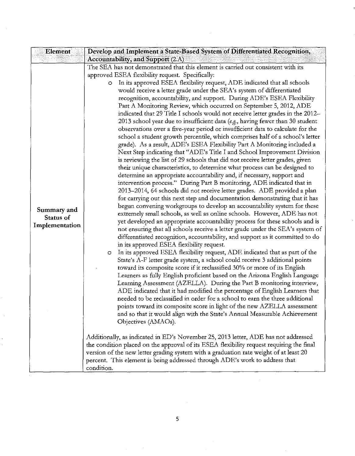| Element                                    | Develop and Implement a State-Based System of Differentiated Recognition,                                                                                                                                                                                                                                                                                                                                                                                                                                                                                                                                                                                                                                                                                                                                                                                                                                                                                                                                                                                                                                                                                                                                                                                                                                                                                                                                                                                                                                                                                                                                                                                                                                                                                                                                                                                                                                                                                                                                                                                                                                                                                                                                                                                                                                                                                                                                                                                                                                                                                                                                                                                                                                                                                                                                                                                                                                                                                                                                                   |
|--------------------------------------------|-----------------------------------------------------------------------------------------------------------------------------------------------------------------------------------------------------------------------------------------------------------------------------------------------------------------------------------------------------------------------------------------------------------------------------------------------------------------------------------------------------------------------------------------------------------------------------------------------------------------------------------------------------------------------------------------------------------------------------------------------------------------------------------------------------------------------------------------------------------------------------------------------------------------------------------------------------------------------------------------------------------------------------------------------------------------------------------------------------------------------------------------------------------------------------------------------------------------------------------------------------------------------------------------------------------------------------------------------------------------------------------------------------------------------------------------------------------------------------------------------------------------------------------------------------------------------------------------------------------------------------------------------------------------------------------------------------------------------------------------------------------------------------------------------------------------------------------------------------------------------------------------------------------------------------------------------------------------------------------------------------------------------------------------------------------------------------------------------------------------------------------------------------------------------------------------------------------------------------------------------------------------------------------------------------------------------------------------------------------------------------------------------------------------------------------------------------------------------------------------------------------------------------------------------------------------------------------------------------------------------------------------------------------------------------------------------------------------------------------------------------------------------------------------------------------------------------------------------------------------------------------------------------------------------------------------------------------------------------------------------------------------------------|
|                                            | Accountability, and Support (2.A)                                                                                                                                                                                                                                                                                                                                                                                                                                                                                                                                                                                                                                                                                                                                                                                                                                                                                                                                                                                                                                                                                                                                                                                                                                                                                                                                                                                                                                                                                                                                                                                                                                                                                                                                                                                                                                                                                                                                                                                                                                                                                                                                                                                                                                                                                                                                                                                                                                                                                                                                                                                                                                                                                                                                                                                                                                                                                                                                                                                           |
| Summary and<br>Status of<br>Implementation | The SEA has not demonstrated that this element is carried out consistent with its<br>approved ESEA flexibility request. Specifically:<br>In its approved ESEA flexibility request, ADE indicated that all schools<br>$\circ$<br>would receive a letter grade under the SEA's system of differentiated<br>recognition, accountability, and support. During ADE's ESEA Flexibility<br>Part A Monitoring Review, which occurred on September 5, 2012, ADE<br>indicated that 29 Title I schools would not receive letter grades in the 2012-<br>2013 school year due to insufficient data (e.g., having fewer than 30 student<br>observations over a five-year period or insufficient data to calculate for the<br>school a student growth percentile, which comprises half of a school's letter<br>grade). As a result, ADE's ESEA Flexibility Part A Monitoring included a<br>Next Step indicating that "ADE's Title I and School Improvement Division<br>is reviewing the list of 29 schools that did not receive letter grades, given<br>their unique characteristics, to determine what process can be designed to<br>determine an appropriate accountability and, if necessary, support and<br>intervention process." During Part B monitoring, ADE indicated that in<br>2013-2014, 64 schools did not receive letter grades. ADE provided a plan<br>for carrying out this next step and documentation demonstrating that it has<br>begun convening workgroups to develop an accountability system for these<br>extremely small schools, as well as online schools. However, ADE has not<br>yet developed an appropriate accountability process for these schools and is<br>not ensuring that all schools receive a letter grade under the SEA's system of<br>differentiated recognition, accountability, and support as it committed to do<br>in its approved ESEA flexibility request.<br>In its approved ESEA flexibility request, ADE indicated that as part of the<br>$\circ$<br>State's A-F letter grade system, a school could receive 3 additional points<br>toward its composite score if it reclassified 30% or more of its English<br>Learners as fully English proficient based on the Arizona English Language<br>Learning Assessment (AZELLA). During the Part B monitoring interview,<br>ADE indicated that it had modified the percentage of English Learners that<br>needed to be reclassified in order for a school to earn the three additional<br>points toward its composite score in light of the new AZELLA assessment<br>and so that it would align with the State's Annual Measurable Achievement<br>Objectives (AMAOs).<br>Additionally, as indicated in ED's November 25, 2013 letter, ADE has not addressed<br>the condition placed on the approval of its ESEA flexibility request requiring the final<br>version of the new letter grading system with a graduation rate weight of at least 20<br>percent. This element is being addressed through ADE's work to address that<br>condition. |

 $\mathcal{A}^{\mathcal{A}}_{\mathcal{A}}$  and  $\mathcal{A}^{\mathcal{A}}_{\mathcal{A}}$  and  $\mathcal{A}^{\mathcal{A}}_{\mathcal{A}}$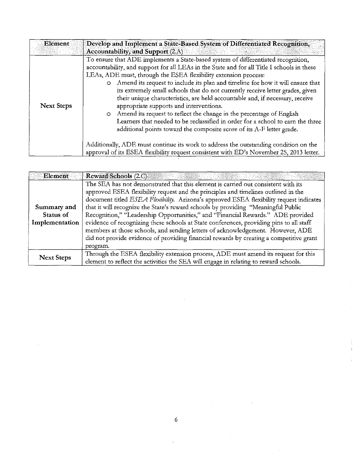| Element           | Develop and Implement a State-Based System of Differentiated Recognition,<br>Accountability, and Support $(2.A)$                                                                                                                                                                                                                                                                                                                                                                                                                                                                                                                                                                                                                                                                                                                                                                                                                                                                                |
|-------------------|-------------------------------------------------------------------------------------------------------------------------------------------------------------------------------------------------------------------------------------------------------------------------------------------------------------------------------------------------------------------------------------------------------------------------------------------------------------------------------------------------------------------------------------------------------------------------------------------------------------------------------------------------------------------------------------------------------------------------------------------------------------------------------------------------------------------------------------------------------------------------------------------------------------------------------------------------------------------------------------------------|
| <b>Next Steps</b> | To ensure that ADE implements a State-based system of differentiated recognition,<br>accountability, and support for all LEAs in the State and for all Title I schools in these<br>LEAs, ADE must, through the ESEA flexibility extension process:<br>Amend its request to include its plan and timeline for how it will ensure that<br>$\circ$<br>its extremely small schools that do not currently receive letter grades, given<br>their unique characteristics, are held accountable and, if necessary, receive<br>appropriate supports and interventions.<br>Amend its request to reflect the change in the percentage of English<br>$\circ$<br>Learners that needed to be reclassified in order for a school to earn the three<br>additional points toward the composite score of its A-F letter grade.<br>Additionally, ADE must continue its work to address the outstanding condition on the<br>approval of its ESEA flexibility request consistent with ED's November 25, 2013 letter. |

 $\label{eq:2.1} \frac{1}{2} \int_{\mathbb{R}^3} \frac{1}{\sqrt{2}} \, \frac{1}{\sqrt{2}} \, \frac{1}{\sqrt{2}} \, \frac{1}{\sqrt{2}} \, \frac{1}{\sqrt{2}} \, \frac{1}{\sqrt{2}} \, \frac{1}{\sqrt{2}} \, \frac{1}{\sqrt{2}} \, \frac{1}{\sqrt{2}} \, \frac{1}{\sqrt{2}} \, \frac{1}{\sqrt{2}} \, \frac{1}{\sqrt{2}} \, \frac{1}{\sqrt{2}} \, \frac{1}{\sqrt{2}} \, \frac{1}{\sqrt{2}} \, \frac{1}{\sqrt{2}} \,$ 

 $\hat{\boldsymbol{\gamma}}$ 

| Element           | <b>Reward Schools (2.C)</b>                                                             |
|-------------------|-----------------------------------------------------------------------------------------|
|                   | The SEA has not demonstrated that this element is carried out consistent with its       |
|                   | approved ESEA flexibility request and the principles and timelines outlined in the      |
|                   | document titled ESEA Flexibility. Arizona's approved ESEA flexibility request indicates |
| Summary and       | that it will recognize the State's reward schools by providing "Meaningful Public       |
| Status of         | Recognition," "Leadership Opportunities," and "Financial Rewards." ADE provided         |
| Implementation    | evidence of recognizing these schools at State conferences, providing pins to all staff |
|                   | members at those schools, and sending letters of acknowledgement. However, ADE          |
|                   | did not provide evidence of providing financial rewards by creating a competitive grant |
|                   | program.                                                                                |
| <b>Next Steps</b> | Through the ESEA flexibility extension process, ADE must amend its request for this     |
|                   | element to reflect the activities the SEA will engage in relating to reward schools.    |

 $\sim$ 

 $\label{eq:2.1} \frac{1}{\sqrt{2\pi}}\int_{0}^{\infty}\frac{1}{\sqrt{2\pi}}\left(\frac{1}{\sqrt{2\pi}}\right)^{2}d\mu_{\rm{eff}}$ 

 $\ddot{\phantom{0}}$ 

 $\sim$   $\sim$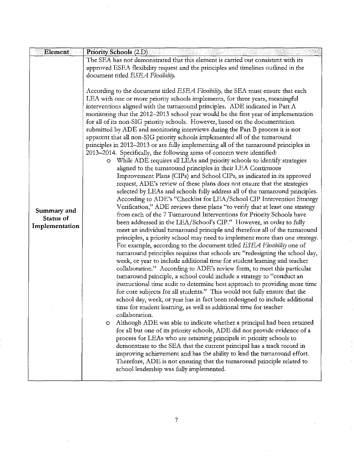| Element          | <b>Priority Schools (2.D)</b>                                                                                                                                  |
|------------------|----------------------------------------------------------------------------------------------------------------------------------------------------------------|
|                  | The SEA has not demonstrated that this element is carried out consistent with its                                                                              |
|                  | approved ESEA flexibility request and the principles and timelines outlined in the                                                                             |
|                  | document titled ESEA Flexibility.                                                                                                                              |
|                  |                                                                                                                                                                |
|                  | According to the document titled ESEA Flexibility, the SEA must ensure that each                                                                               |
|                  | LEA with one or more priority schools implements, for three years, meaningful<br>interventions aligned with the turnaround principles. ADE indicated in Part A |
|                  | monitoring that the 2012-2013 school year would be the first year of implementation                                                                            |
|                  | for all of its non-SIG priority schools. However, based on the documentation                                                                                   |
|                  | submitted by ADE and monitoring interviews during the Part B process it is not                                                                                 |
|                  | apparent that all non-SIG priority schools implemented all of the turnaround                                                                                   |
|                  | principles in 2012-2013 or are fully implementing all of the turnaround principles in                                                                          |
|                  | 2013–2014. Specifically, the following areas of concern were identified:                                                                                       |
|                  | O While ADE requires all LEAs and priority schools to identify strategies                                                                                      |
|                  | aligned to the turnaround principles in their LEA Continuous                                                                                                   |
|                  | Improvement Plans (CIPs) and School CIPs, as indicated in its approved                                                                                         |
|                  | request, ADE's review of these plans does not ensure that the strategies<br>selected by LEAs and schools fully address all of the turnaround principles.       |
|                  | According to ADE's "Checklist for LEA/School CIP Intervention Strategy                                                                                         |
|                  | Verification," ADE reviews these plans "to verify that at least one strategy                                                                                   |
| Summary and      | from each of the 7 Turnaround Interventions for Priority Schools have                                                                                          |
| <b>Status of</b> | been addressed in the LEA/School's CIP." However, in order to fully                                                                                            |
| Implementation   | meet an individual turnaround principle and therefore all of the turnaround                                                                                    |
|                  | principles, a priority school may need to implement more than one strategy.                                                                                    |
|                  | For example, according to the document titled ESEA Flexibility one of                                                                                          |
|                  | turnaround principles requires that schools are "redesigning the school day,                                                                                   |
|                  | week, or year to include additional time for student learning and teacher                                                                                      |
|                  | collaboration." According to ADE's review form, to meet this particular                                                                                        |
|                  | turnaround principle, a school could include a strategy to "conduct an                                                                                         |
|                  | instructional time audit to determine best approach to providing more time<br>for core subjects for all students." This would not fully ensure that the        |
|                  | school day, week, or year has in fact been redesigned to include additional                                                                                    |
|                  | time for student learning, as well as additional time for teacher                                                                                              |
|                  | collaboration.                                                                                                                                                 |
|                  | Although ADE was able to indicate whether a principal had been retained<br>$\circ$                                                                             |
|                  | for all but one of its priority schools, ADE did not provide evidence of a                                                                                     |
|                  | process for LEAs who are retaining principals in priority schools to                                                                                           |
|                  | demonstrate to the SEA that the current principal has a track record in                                                                                        |
|                  | improving achievement and has the ability to lead the turnaround effort.                                                                                       |
|                  | Therefore, ADE is not ensuring that the turnaround principle related to                                                                                        |
|                  | school leadership was fully implemented.                                                                                                                       |
|                  |                                                                                                                                                                |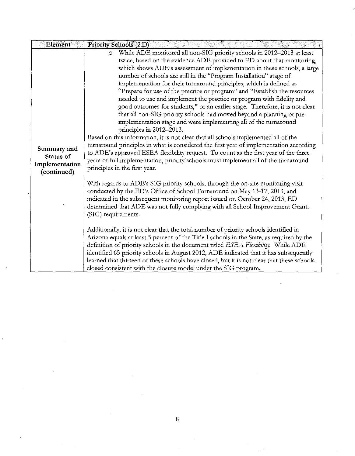| Element                                                   | <b>Priority Schools (2.D)</b>                                                                                                                                                                                                                                                                                                                                                                                                                                                                                                                                                                                                                                                                                                                                                                                                                                                                                                                                                                                                                                                                                                                                     |
|-----------------------------------------------------------|-------------------------------------------------------------------------------------------------------------------------------------------------------------------------------------------------------------------------------------------------------------------------------------------------------------------------------------------------------------------------------------------------------------------------------------------------------------------------------------------------------------------------------------------------------------------------------------------------------------------------------------------------------------------------------------------------------------------------------------------------------------------------------------------------------------------------------------------------------------------------------------------------------------------------------------------------------------------------------------------------------------------------------------------------------------------------------------------------------------------------------------------------------------------|
| Summary and<br>Status of<br>Implementation<br>(continued) | While ADE monitored all non-SIG priority schools in 2012-2013 at least<br>$\circ$<br>twice, based on the evidence ADE provided to ED about that monitoring,<br>which shows ADE's assessment of implementation in these schools, a large<br>number of schools are still in the "Program Installation" stage of<br>implementation for their turnaround principles, which is defined as<br>"Prepare for use of the practice or program" and "Establish the resources<br>needed to use and implement the practice or program with fidelity and<br>good outcomes for students," or an earlier stage. Therefore, it is not clear<br>that all non-SIG priority schools had moved beyond a planning or pre-<br>implementation stage and were implementing all of the turnaround<br>principles in 2012-2013.<br>Based on this information, it is not clear that all schools implemented all of the<br>turnaround principles in what is considered the first year of implementation according<br>to ADE's approved ESEA flexibility request. To count as the first year of the three<br>years of full implementation, priority schools must implement all of the turnaround |
|                                                           | principles in the first year.<br>With regards to ADE's SIG priority schools, through the on-site monitoring visit<br>conducted by the ED's Office of School Turnaround on May 13-17, 2013, and<br>indicated in the subsequent monitoring report issued on October 24, 2013, ED<br>determined that ADE was not fully complying with all School Improvement Grants<br>(SIG) requirements.<br>Additionally, it is not clear that the total number of priority schools identified in<br>Arizona equals at least 5 percent of the Title I schools in the State, as required by the<br>definition of priority schools in the document titled ESEA Flexibility. While ADE<br>identified 65 priority schools in August 2012, ADE indicated that it has subsequently<br>learned that thirteen of these schools have closed, but it is not clear that these schools<br>closed consistent with the closure model under the SIG program.                                                                                                                                                                                                                                      |

 $\label{eq:2} \frac{1}{\sqrt{2}}\sum_{i=1}^n\frac{1}{\sqrt{2}}\sum_{i=1}^n\frac{1}{\sqrt{2}}\sum_{i=1}^n\frac{1}{\sqrt{2}}\sum_{i=1}^n\frac{1}{\sqrt{2}}\sum_{i=1}^n\frac{1}{\sqrt{2}}\sum_{i=1}^n\frac{1}{\sqrt{2}}\sum_{i=1}^n\frac{1}{\sqrt{2}}\sum_{i=1}^n\frac{1}{\sqrt{2}}\sum_{i=1}^n\frac{1}{\sqrt{2}}\sum_{i=1}^n\frac{1}{\sqrt{2}}\sum_{i=1}^n\frac{1$ 

 $\sim 10^6$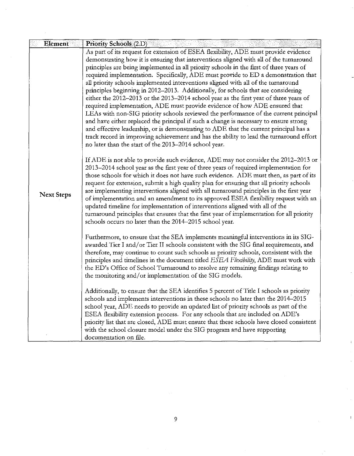| Element<br><b>Priority Schools (2.D)</b>                                                                 |                                                                                          |
|----------------------------------------------------------------------------------------------------------|------------------------------------------------------------------------------------------|
| As part of its request for extension of ESEA flexibility, ADE must provide evidence                      |                                                                                          |
| demonstrating how it is ensuring that interventions aligned with all of the turnaround                   |                                                                                          |
| principles are being implemented in all priority schools in the first of three years of                  |                                                                                          |
| required implementation. Specifically, ADE must provide to ED a demonstration that                       |                                                                                          |
| all priority schools implemented interventions aligned with all of the turnaround                        |                                                                                          |
| principles beginning in 2012-2013. Additionally, for schools that are considering                        |                                                                                          |
| either the 2012-2013 or the 2013-2014 school year as the first year of three years of                    |                                                                                          |
| required implementation, ADE must provide evidence of how ADE ensured that                               |                                                                                          |
| LEAs with non-SIG priority schools reviewed the performance of the current principal                     |                                                                                          |
| and have either replaced the principal if such a change is necessary to ensure strong                    |                                                                                          |
| and effective leadership, or is demonstrating to ADE that the current principal has a                    |                                                                                          |
| track record in improving achievement and has the ability to lead the turnaround effort                  |                                                                                          |
| no later than the start of the 2013-2014 school year.                                                    |                                                                                          |
| If ADE is not able to provide such evidence, ADE may not consider the 2012–2013 or                       |                                                                                          |
| 2013-2014 school year as the first year of three years of required implementation for                    |                                                                                          |
| those schools for which it does not have such evidence. ADE must then, as part of its                    |                                                                                          |
| request for extension, submit a high quality plan for ensuring that all priority schools                 |                                                                                          |
| are implementing interventions aligned with all turnaround principles in the first year                  |                                                                                          |
| <b>Next Steps</b><br>of implementation and an amendment to its approved ESEA flexibility request with an |                                                                                          |
| updated timeline for implementation of interventions aligned with all of the                             |                                                                                          |
| turnaround principles that ensures that the first year of implementation for all priority                |                                                                                          |
| schools occurs no later than the 2014-2015 school year.                                                  |                                                                                          |
| Furthermore, to ensure that the SEA implements meaningful interventions in its SIG-                      |                                                                                          |
| awarded Tier I and/or Tier II schools consistent with the SIG final requirements, and                    |                                                                                          |
| therefore, may continue to count such schools as priority schools, consistent with the                   |                                                                                          |
| principles and timelines in the document titled ESEA Flexibility, ADE must work with                     |                                                                                          |
| the ED's Office of School Turnaround to resolve any remaining findings relating to                       |                                                                                          |
| the monitoring and/or implementation of the SIG models.                                                  |                                                                                          |
|                                                                                                          |                                                                                          |
| Additionally, to ensure that the SEA identifies 5 percent of Title I schools as priority                 |                                                                                          |
| schools and implements interventions in these schools no later than the 2014-2015                        |                                                                                          |
| school year, ADE needs to provide an updated list of priority schools as part of the                     |                                                                                          |
| ESEA flexibility extension process. For any schools that are included on ADE's                           |                                                                                          |
|                                                                                                          |                                                                                          |
| with the school closure model under the SIG program and have supporting                                  | priority list that are closed, ADE must ensure that these schools have closed consistent |

 $\frac{1}{2}$ 

 $\mathbf i$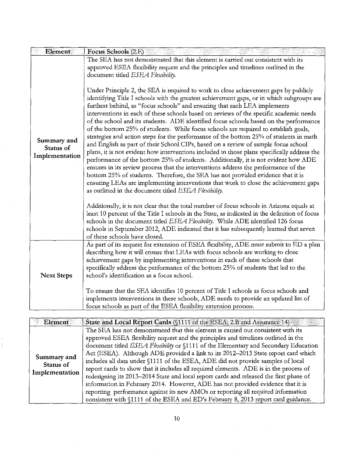| Element                                    | Focus Schools (2.E)                                                                                                                                                                                                                                                                                                                                                                                                                                                                                                                                                                                                                                                                                                                                                                                                                                                                                                                                                                                                                                                                                                                                                                                                                                                                                                                 |
|--------------------------------------------|-------------------------------------------------------------------------------------------------------------------------------------------------------------------------------------------------------------------------------------------------------------------------------------------------------------------------------------------------------------------------------------------------------------------------------------------------------------------------------------------------------------------------------------------------------------------------------------------------------------------------------------------------------------------------------------------------------------------------------------------------------------------------------------------------------------------------------------------------------------------------------------------------------------------------------------------------------------------------------------------------------------------------------------------------------------------------------------------------------------------------------------------------------------------------------------------------------------------------------------------------------------------------------------------------------------------------------------|
|                                            | The SEA has not demonstrated that this element is carried out consistent with its<br>approved ESEA flexibility request and the principles and timelines outlined in the<br>document titled ESEA Flexibility.                                                                                                                                                                                                                                                                                                                                                                                                                                                                                                                                                                                                                                                                                                                                                                                                                                                                                                                                                                                                                                                                                                                        |
| Summary and<br>Status of<br>Implementation | Under Principle 2, the SEA is required to work to close achievement gaps by publicly<br>identifying Title I schools with the greatest achievement gaps, or in which subgroups are<br>furthest behind, as "focus schools" and ensuring that each LEA implements<br>interventions in each of these schools based on reviews of the specific academic needs<br>of the school and its students. ADE identified focus schools based on the performance<br>of the bottom 25% of students. While focus schools are required to establish goals,<br>strategies and action steps for the performance of the bottom 25% of students in math<br>and English as part of their School CIPs, based on a review of sample focus school<br>plans, it is not evident how interventions included in those plans specifically address the<br>performance of the bottom 25% of students. Additionally, it is not evident how ADE<br>ensures in its review process that the interventions address the performance of the<br>bottom 25% of students. Therefore, the SEA has not provided evidence that it is<br>ensuring LEAs are implementing interventions that work to close the achievement gaps<br>as outlined in the document titled ESEA Flexibility.<br>Additionally, it is not clear that the total number of focus schools in Arizona equals at |
|                                            | least 10 percent of the Title I schools in the State, as indicated in the definition of focus<br>schools in the document titled ESEA Flexibility. While ADE identified 126 focus<br>schools in September 2012, ADE indicated that it has subsequently learned that seven<br>of these schools have closed.                                                                                                                                                                                                                                                                                                                                                                                                                                                                                                                                                                                                                                                                                                                                                                                                                                                                                                                                                                                                                           |
| <b>Next Steps</b>                          | As part of its request for extension of ESEA flexibility, ADE must submit to ED a plan<br>describing how it will ensure that LEAs with focus schools are working to close<br>achievement gaps by implementing interventions in each of these schools that<br>specifically address the performance of the bottom 25% of students that led to the<br>school's identification as a focus school.                                                                                                                                                                                                                                                                                                                                                                                                                                                                                                                                                                                                                                                                                                                                                                                                                                                                                                                                       |
|                                            | To ensure that the SEA identifies 10 percent of Title I schools as focus schools and<br>implements interventions in these schools, ADE needs to provide an updated list of<br>focus schools as part of the ESEA flexibility extension process.                                                                                                                                                                                                                                                                                                                                                                                                                                                                                                                                                                                                                                                                                                                                                                                                                                                                                                                                                                                                                                                                                      |

| Element                                    | State and Local Report Cards (§1111 of the ESEA; 2.B and Assurance 14)                 |
|--------------------------------------------|----------------------------------------------------------------------------------------|
| Summary and<br>Status of<br>Implementation | The SEA has not demonstrated that this element is carried out consistent with its      |
|                                            | approved ESEA flexibility request and the principles and timelines outlined in the     |
|                                            | document titled ESEA Flexibility or §1111 of the Elementary and Secondary Education    |
|                                            | Act (ESEA). Although ADE provided a link to its 2012-2013 State report card which      |
|                                            | includes all data under §1111 of the ESEA, ADE did not provide samples of local        |
|                                            | report cards to show that it includes all required elements. ADE is in the process of  |
|                                            | redesigning its 2013-2014 State and local report cards and released the first phase of |
|                                            | information in February 2014. However, ADE has not provided evidence that it is        |
|                                            | reporting performance against its new AMOs or reporting all required information       |
|                                            | consistent with §1111 of the ESEA and ED's February 8, 2013 report card guidance.      |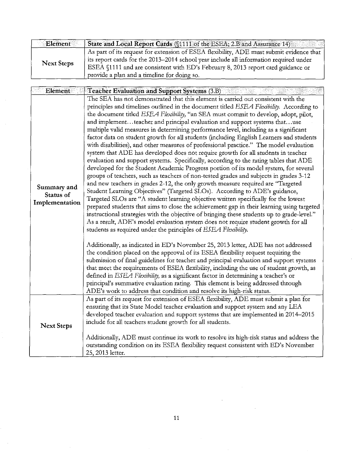| <b>Element</b>    | State and Local Report Cards (§1111 of the ESEA; 2.B and Assurance 14)                                                                                                                                                                                                                                              |
|-------------------|---------------------------------------------------------------------------------------------------------------------------------------------------------------------------------------------------------------------------------------------------------------------------------------------------------------------|
| <b>Next Steps</b> | As part of its request for extension of ESEA flexibility, ADE must submit evidence that<br>its report cards for the 2013–2014 school year include all information required under<br>ESEA §1111 and are consistent with ED's February 8, 2013 report card guidance or<br>provide a plan and a timeline for doing so. |

| Element                                    | Teacher Evaluation and Support Systems (3.B)                                                                                                                                                                                                                                                                                                                                                                                                                                                                                                                                                                                                                                                                                                                                                                                                                                                                                                                                                                                                                                                                                                                                                                                                                                                                                                                                                                                                                                                                                                                                                                                                                                                                                                                                                                                                                                                                                                                                                                                                                                                                                                                                                                                  |
|--------------------------------------------|-------------------------------------------------------------------------------------------------------------------------------------------------------------------------------------------------------------------------------------------------------------------------------------------------------------------------------------------------------------------------------------------------------------------------------------------------------------------------------------------------------------------------------------------------------------------------------------------------------------------------------------------------------------------------------------------------------------------------------------------------------------------------------------------------------------------------------------------------------------------------------------------------------------------------------------------------------------------------------------------------------------------------------------------------------------------------------------------------------------------------------------------------------------------------------------------------------------------------------------------------------------------------------------------------------------------------------------------------------------------------------------------------------------------------------------------------------------------------------------------------------------------------------------------------------------------------------------------------------------------------------------------------------------------------------------------------------------------------------------------------------------------------------------------------------------------------------------------------------------------------------------------------------------------------------------------------------------------------------------------------------------------------------------------------------------------------------------------------------------------------------------------------------------------------------------------------------------------------------|
| Summary and<br>Status of<br>Implementation | The SEA has not demonstrated that this element is carried out consistent with the<br>principles and timelines outlined in the document titled ESEA Flexibility. According to<br>the document titled ESEA Flexibility, "an SEA must commit to develop, adopt, pilot,<br>and implementteacher and principal evaluation and support systems thatuse<br>multiple valid measures in determining performance level, including as a significant<br>factor data on student growth for all students (including English Learners and students<br>with disabilities), and other measures of professional practice." The model evaluation<br>system that ADE has developed does not require growth for all students in teacher<br>evaluation and support systems. Specifically, according to the rating tables that ADE<br>developed for the Student Academic Progress portion of its model system, for several<br>groups of teachers, such as teachers of non-tested grades and subjects in grades 3-12<br>and new teachers in grades 2-12, the only growth measure required are "Targeted<br>Student Learning Objectives" (Targeted SLOs). According to ADE's guidance,<br>Targeted SLOs are "A student learning objective written specifically for the lowest<br>prepared students that aims to close the achievement gap in their learning using targeted<br>instructional strategies with the objective of bringing these students up to grade-level."<br>As a result, ADE's model evaluation system does not require student growth for all<br>students as required under the principles of ESEA Flexibility.<br>Additionally, as indicated in ED's November 25, 2013 letter, ADE has not addressed<br>the condition placed on the approval of its ESEA flexibility request requiring the<br>submission of final guidelines for teacher and principal evaluation and support systems<br>that meet the requirements of ESEA flexibility, including the use of student growth, as<br>defined in ESEA Flexibility, as a significant factor in determining a teacher's or<br>principal's summative evaluation rating. This element is being addressed through<br>ADE's work to address that condition and resolve its high-risk status. |
| <b>Next Steps</b>                          | As part of its request for extension of ESEA flexibility, ADE must submit a plan for<br>ensuring that its State Model teacher evaluation and support system and any LEA<br>developed teacher evaluation and support systems that are implemented in 2014–2015<br>include for all teachers student growth for all students.<br>Additionally, ADE must continue its work to resolve its high-risk status and address the<br>outstanding condition on its ESEA flexibility request consistent with ED's November<br>25, 2013 letter.                                                                                                                                                                                                                                                                                                                                                                                                                                                                                                                                                                                                                                                                                                                                                                                                                                                                                                                                                                                                                                                                                                                                                                                                                                                                                                                                                                                                                                                                                                                                                                                                                                                                                             |